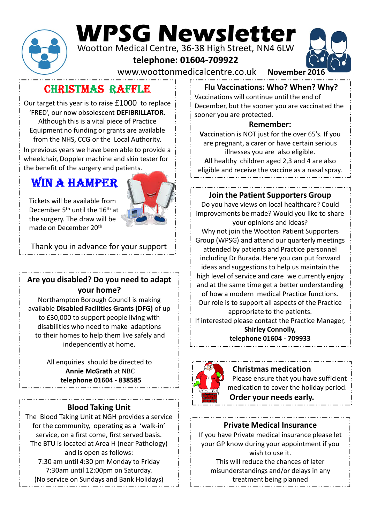

# WPSG Newsletter

Wootton Medical Centre, 36-38 High Street, NN4 6LW

telephone: 01604-709922



CHRISTMAS RAFFLE

Our target this year is to raise £1000 to replace 'FRED', our now obsolescent DEFIBRILLATOR. Although this is a vital piece of Practice Equipment no funding or grants are available from the NHS, CCG or the Local Authority.

In previous years we have been able to provide a wheelchair, Doppler machine and skin tester for the benefit of the surgery and patients.

# WIN A HAMPER



Tickets will be available from December 5<sup>th</sup> until the 16<sup>th</sup> at the surgery. The draw will be made on December 20th

Thank you in advance for your support

# Are you disabled? Do you need to adapt your home?

Northampton Borough Council is making available Disabled Facilities Grants (DFG) of up to £30,000 to support people living with disabilities who need to make adaptions to their homes to help them live safely and independently at home.

> All enquiries should be directed to Annie McGrath at NBC

### Blood Taking Unit

The Blood Taking Unit at NGH provides a service for the community, operating as a 'walk-in' service, on a first come, first served basis. The BTU is located at Area H (near Pathology) and is open as follows: 7:30 am until 4:30 pm Monday to Friday 7:30am until 12:00pm on Saturday. (No service on Sundays and Bank Holidays)

#### Flu Vaccinations: Who? When? Why?

Vaccinations will continue until the end of December, but the sooner you are vaccinated the sooner you are protected.

#### Remember:

Vaccination is NOT just for the over 65's. If you are pregnant, a carer or have certain serious illnesses you are also eligible. All healthy children aged 2,3 and 4 are also eligible and receive the vaccine as a nasal spray.

Join the Patient Supporters Group

Do you have views on local healthcare? Could improvements be made? Would you like to share your opinions and ideas?

Why not join the Wootton Patient Supporters Group (WPSG) and attend our quarterly meetings attended by patients and Practice personnel including Dr Burada. Here you can put forward December 20th<br>
20th many out in advance for your support<br>
in the Wootton Patient Support<br>
in the Wootton Patient Support<br>
in the Wootton Patient Support<br>
in the Wootton Patient Support<br>
in the Wootton Patient Support in th ideas and suggestions to help us maintain the high level of service and care we currently enjoy and at the same time get a better understanding of how a modern medical Practice functions. Our role is to support all aspects of the Practice appropriate to the patients. If interested please contact the Practice Manager, Shirley Connolly, The Patient Supporters Group<br>
The Patient Supporters Group<br>
The Patient Supporters Group<br>
The Moster of Movement Supporters<br>
SG) and attend our quarterly meetings<br>
SG) and attend our quarterly meetings<br>
SG) and attend our



#### Christmas medication

Please ensure that you have sufficient medication to cover the holiday period. Order your needs early.

#### Private Medical Insurance

If you have Private medical insurance please let your GP know during your appointment if you wish to use it.

This will reduce the chances of later misunderstandings and/or delays in any treatment being planned